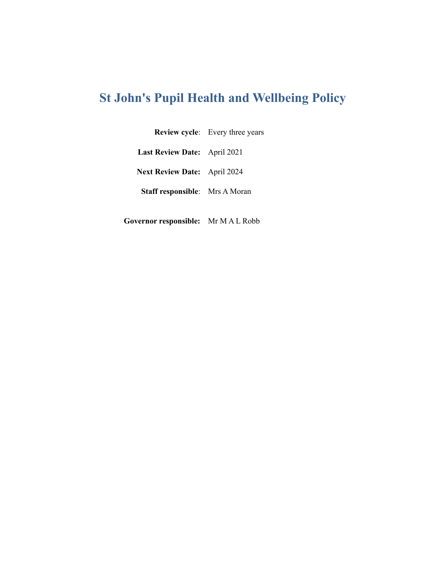# **St John's Pupil Health and Wellbeing Policy**

**Review cycle**: Every three years

**Last Review Date:** April 2021

**Next Review Date:** April 2024

**Staff responsible**: Mrs A Moran

**Governor responsible:** Mr M A L Robb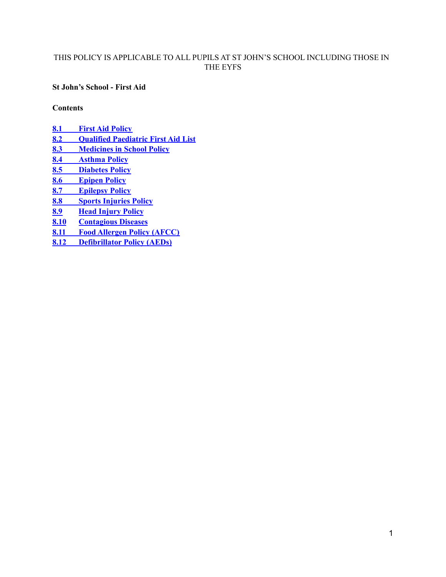# THIS POLICY IS APPLICABLE TO ALL PUPILS AT ST JOHN'S SCHOOL INCLUDING THOSE IN THE EYFS

**St John's School - First Aid**

<span id="page-1-0"></span>**Contents**

**8.1 First Aid [Policy](#page-2-0)**

- **8.2 Qualified Paediatric First Aid List**
- **8.3 [Medicines](#page-9-0) in School Policy**
- **8.4 [Asthma](#page-12-0) Policy**
- **8.5 [Diabetes](#page-14-0) Policy**
- **8.6 [Epipen](#page-18-0) Policy**
- **8.7 [Epilepsy](#page-21-0) Policy**
- **8.8 Sports [Injuries](#page-23-0) Policy**
- **8.9 Head [Injury](#page-24-0) Policy**
- **8.10 Contagious Diseases**
- **8.11 Food [Allergen](#page-30-0) Policy (AFCC)**
- **8.12 [Defibrillator](#page-34-0) Policy (AEDs)**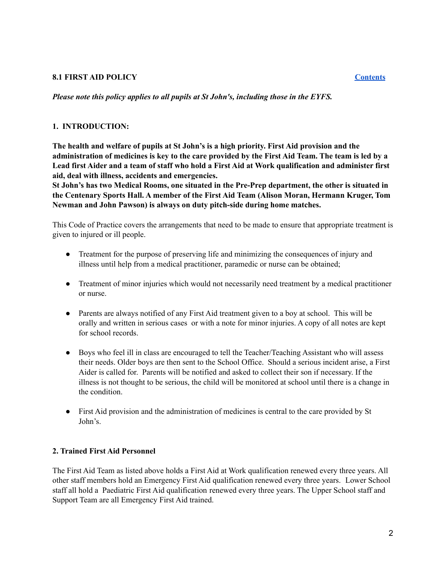#### <span id="page-2-0"></span>**8.1 FIRST AID POLICY [Contents](#page-1-0)**

*Please note this policy applies to all pupils at St John's, including those in the EYFS.*

#### **1. INTRODUCTION:**

**The health and welfare of pupils at St John's is a high priority. First Aid provision and the** administration of medicines is key to the care provided by the First Aid Team. The team is led by a Lead first Aider and a team of staff who hold a First Aid at Work qualification and administer first **aid, deal with illness, accidents and emergencies.**

**St John's has two Medical Rooms, one situated in the Pre-Prep department, the other is situated in the Centenary Sports Hall. A member of the First Aid Team (Alison Moran, Hermann Kruger, Tom Newman and John Pawson) is always on duty pitch-side during home matches.**

This Code of Practice covers the arrangements that need to be made to ensure that appropriate treatment is given to injured or ill people.

- Treatment for the purpose of preserving life and minimizing the consequences of injury and illness until help from a medical practitioner, paramedic or nurse can be obtained;
- Treatment of minor injuries which would not necessarily need treatment by a medical practitioner or nurse.
- Parents are always notified of any First Aid treatment given to a boy at school. This will be orally and written in serious cases or with a note for minor injuries. A copy of all notes are kept for school records.
- Boys who feel ill in class are encouraged to tell the Teacher/Teaching Assistant who will assess their needs. Older boys are then sent to the School Office. Should a serious incident arise, a First Aider is called for. Parents will be notified and asked to collect their son if necessary. If the illness is not thought to be serious, the child will be monitored at school until there is a change in the condition.
- First Aid provision and the administration of medicines is central to the care provided by St John's.

#### **2. Trained First Aid Personnel**

The First Aid Team as listed above holds a First Aid at Work qualification renewed every three years. All other staff members hold an Emergency First Aid qualification renewed every three years. Lower School staff all hold a Paediatric First Aid qualification renewed every three years. The Upper School staff and Support Team are all Emergency First Aid trained.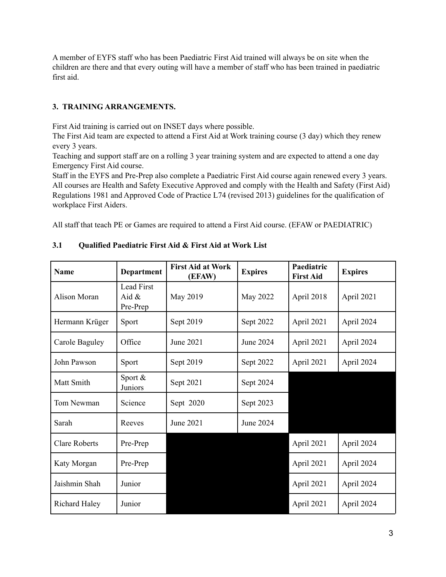A member of EYFS staff who has been Paediatric First Aid trained will always be on site when the children are there and that every outing will have a member of staff who has been trained in paediatric first aid.

# **3. TRAINING ARRANGEMENTS.**

First Aid training is carried out on INSET days where possible.

The First Aid team are expected to attend a First Aid at Work training course (3 day) which they renew every 3 years.

Teaching and support staff are on a rolling 3 year training system and are expected to attend a one day Emergency First Aid course.

Staff in the EYFS and Pre-Prep also complete a Paediatric First Aid course again renewed every 3 years. All courses are Health and Safety Executive Approved and comply with the Health and Safety (First Aid) Regulations 1981 and Approved Code of Practice L74 (revised 2013) guidelines for the qualification of workplace First Aiders.

All staff that teach PE or Games are required to attend a First Aid course. (EFAW or PAEDIATRIC)

| <b>Name</b>          | <b>Department</b>                  | <b>First Aid at Work</b><br>(EFAW) | <b>Expires</b> | Paediatric<br><b>First Aid</b> | <b>Expires</b> |
|----------------------|------------------------------------|------------------------------------|----------------|--------------------------------|----------------|
| Alison Moran         | Lead First<br>Aid $\&$<br>Pre-Prep | May 2019                           | May 2022       | April 2018                     | April 2021     |
| Hermann Krüger       | Sport                              | Sept 2019                          | Sept 2022      | April 2021                     | April 2024     |
| Carole Baguley       | Office                             | June 2021                          | June 2024      | April 2021                     | April 2024     |
| John Pawson          | Sport                              | Sept 2019                          | Sept 2022      | April 2021                     | April 2024     |
| Matt Smith           | Sport $&$<br>Juniors               | Sept 2021                          | Sept 2024      |                                |                |
| Tom Newman           | Science                            | Sept 2020                          | Sept 2023      |                                |                |
| Sarah                | Reeves                             | June 2021                          | June 2024      |                                |                |
| <b>Clare Roberts</b> | Pre-Prep                           |                                    |                | April 2021                     | April 2024     |
| Katy Morgan          | Pre-Prep                           |                                    |                | April 2021                     | April 2024     |
| Jaishmin Shah        | Junior                             |                                    |                | April 2021                     | April 2024     |
| <b>Richard Haley</b> | Junior                             |                                    |                | April 2021                     | April 2024     |

# **3.1 Qualified Paediatric First Aid & First Aid at Work List**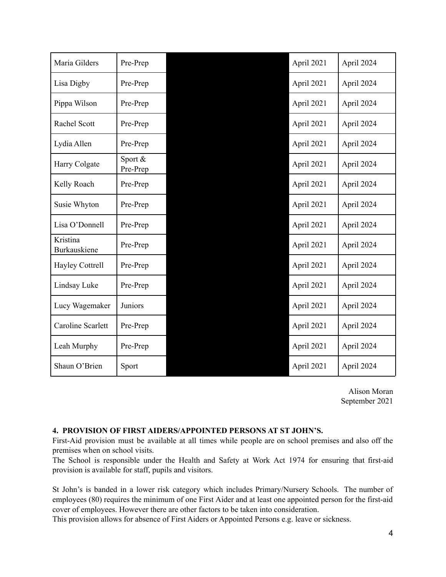| Maria Gilders            | Pre-Prep            | April 2021 | April 2024 |
|--------------------------|---------------------|------------|------------|
| Lisa Digby               | Pre-Prep            | April 2021 | April 2024 |
| Pippa Wilson             | Pre-Prep            | April 2021 | April 2024 |
| Rachel Scott             | Pre-Prep            | April 2021 | April 2024 |
| Lydia Allen              | Pre-Prep            | April 2021 | April 2024 |
| Harry Colgate            | Sport &<br>Pre-Prep | April 2021 | April 2024 |
| Kelly Roach              | Pre-Prep            | April 2021 | April 2024 |
| Susie Whyton             | Pre-Prep            | April 2021 | April 2024 |
| Lisa O'Donnell           | Pre-Prep            | April 2021 | April 2024 |
| Kristina<br>Burkauskiene | Pre-Prep            | April 2021 | April 2024 |
| <b>Hayley Cottrell</b>   | Pre-Prep            | April 2021 | April 2024 |
| Lindsay Luke             | Pre-Prep            | April 2021 | April 2024 |
| Lucy Wagemaker           | Juniors             | April 2021 | April 2024 |
| <b>Caroline Scarlett</b> | Pre-Prep            | April 2021 | April 2024 |
| Leah Murphy              | Pre-Prep            | April 2021 | April 2024 |
| Shaun O'Brien            | Sport               | April 2021 | April 2024 |

Alison Moran September 2021

### **4. PROVISION OF FIRST AIDERS/APPOINTED PERSONS AT ST JOHN'S.**

First-Aid provision must be available at all times while people are on school premises and also off the premises when on school visits.

The School is responsible under the Health and Safety at Work Act 1974 for ensuring that first-aid provision is available for staff, pupils and visitors.

St John's is banded in a lower risk category which includes Primary/Nursery Schools. The number of employees (80) requires the minimum of one First Aider and at least one appointed person for the first-aid cover of employees. However there are other factors to be taken into consideration.

This provision allows for absence of First Aiders or Appointed Persons e.g. leave or sickness.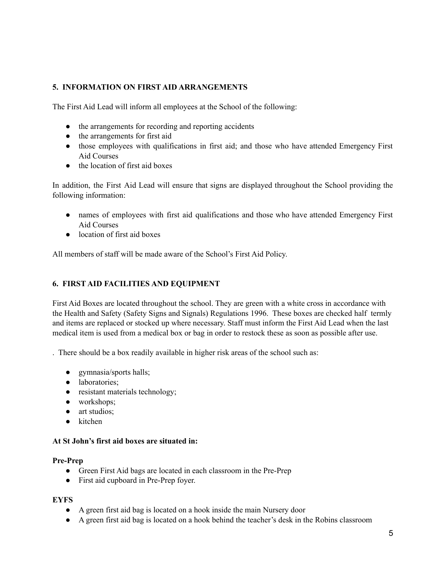# **5. INFORMATION ON FIRST AID ARRANGEMENTS**

The First Aid Lead will inform all employees at the School of the following:

- the arrangements for recording and reporting accidents
- the arrangements for first aid
- those employees with qualifications in first aid; and those who have attended Emergency First Aid Courses
- the location of first aid boxes

In addition, the First Aid Lead will ensure that signs are displayed throughout the School providing the following information:

- names of employees with first aid qualifications and those who have attended Emergency First Aid Courses
- location of first aid boxes

All members of staff will be made aware of the School's First Aid Policy.

### **6. FIRST AID FACILITIES AND EQUIPMENT**

First Aid Boxes are located throughout the school. They are green with a white cross in accordance with the Health and Safety (Safety Signs and Signals) Regulations 1996. These boxes are checked half termly and items are replaced or stocked up where necessary. Staff must inform the First Aid Lead when the last medical item is used from a medical box or bag in order to restock these as soon as possible after use.

. There should be a box readily available in higher risk areas of the school such as:

- gymnasia/sports halls;
- laboratories:
- resistant materials technology;
- workshops;
- art studios:
- kitchen

#### **At St John's first aid boxes are situated in:**

#### **Pre-Prep**

- Green First Aid bags are located in each classroom in the Pre-Prep
- First aid cupboard in Pre-Prep foyer.

#### **EYFS**

- A green first aid bag is located on a hook inside the main Nursery door
- A green first aid bag is located on a hook behind the teacher's desk in the Robins classroom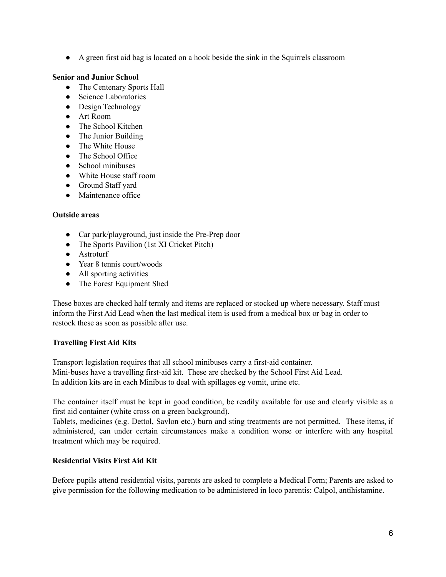● A green first aid bag is located on a hook beside the sink in the Squirrels classroom

### **Senior and Junior School**

- The Centenary Sports Hall
- Science Laboratories
- Design Technology
- Art Room
- The School Kitchen
- The Junior Building
- The White House
- The School Office
- School minibuses
- White House staff room
- Ground Staff yard
- Maintenance office

### **Outside areas**

- Car park/playground, just inside the Pre-Prep door
- The Sports Pavilion (1st XI Cricket Pitch)
- Astroturf
- Year 8 tennis court/woods
- All sporting activities
- The Forest Equipment Shed

These boxes are checked half termly and items are replaced or stocked up where necessary. Staff must inform the First Aid Lead when the last medical item is used from a medical box or bag in order to restock these as soon as possible after use.

# **Travelling First Aid Kits**

Transport legislation requires that all school minibuses carry a first-aid container. Mini-buses have a travelling first-aid kit. These are checked by the School First Aid Lead. In addition kits are in each Minibus to deal with spillages eg vomit, urine etc.

The container itself must be kept in good condition, be readily available for use and clearly visible as a first aid container (white cross on a green background).

Tablets, medicines (e.g. Dettol, Savlon etc.) burn and sting treatments are not permitted. These items, if administered, can under certain circumstances make a condition worse or interfere with any hospital treatment which may be required.

#### **Residential Visits First Aid Kit**

Before pupils attend residential visits, parents are asked to complete a Medical Form; Parents are asked to give permission for the following medication to be administered in loco parentis: Calpol, antihistamine.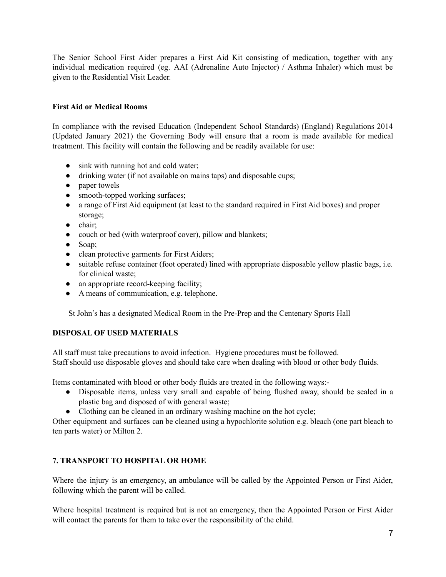The Senior School First Aider prepares a First Aid Kit consisting of medication, together with any individual medication required (eg. AAI (Adrenaline Auto Injector) / Asthma Inhaler) which must be given to the Residential Visit Leader.

# **First Aid or Medical Rooms**

In compliance with the revised Education (Independent School Standards) (England) Regulations 2014 (Updated January 2021) the Governing Body will ensure that a room is made available for medical treatment. This facility will contain the following and be readily available for use:

- sink with running hot and cold water;
- drinking water (if not available on mains taps) and disposable cups;
- paper towels
- smooth-topped working surfaces;
- a range of First Aid equipment (at least to the standard required in First Aid boxes) and proper storage;
- chair;
- couch or bed (with waterproof cover), pillow and blankets;
- Soap;
- clean protective garments for First Aiders;
- suitable refuse container (foot operated) lined with appropriate disposable yellow plastic bags, i.e. for clinical waste;
- an appropriate record-keeping facility;
- A means of communication, e.g. telephone.

St John's has a designated Medical Room in the Pre-Prep and the Centenary Sports Hall

# **DISPOSAL OF USED MATERIALS**

All staff must take precautions to avoid infection. Hygiene procedures must be followed. Staff should use disposable gloves and should take care when dealing with blood or other body fluids.

Items contaminated with blood or other body fluids are treated in the following ways:-

- Disposable items, unless very small and capable of being flushed away, should be sealed in a plastic bag and disposed of with general waste;
- Clothing can be cleaned in an ordinary washing machine on the hot cycle;

Other equipment and surfaces can be cleaned using a hypochlorite solution e.g. bleach (one part bleach to ten parts water) or Milton 2.

# **7. TRANSPORT TO HOSPITAL OR HOME**

Where the injury is an emergency, an ambulance will be called by the Appointed Person or First Aider, following which the parent will be called.

Where hospital treatment is required but is not an emergency, then the Appointed Person or First Aider will contact the parents for them to take over the responsibility of the child.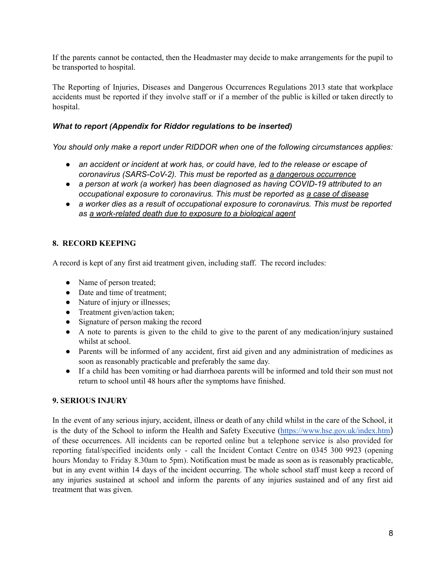If the parents cannot be contacted, then the Headmaster may decide to make arrangements for the pupil to be transported to hospital.

The Reporting of Injuries, Diseases and Dangerous Occurrences Regulations 2013 state that workplace accidents must be reported if they involve staff or if a member of the public is killed or taken directly to hospital.

# *What to report (Appendix for Riddor regulations to be inserted)*

*You should only make a report under RIDDOR when one of the following circumstances applies:*

- *an accident or incident at work has, or could have, led to the release or escape of coronavirus (SARS-CoV-2). This must be reported as a dangerous [occurrence](https://www.hse.gov.uk/coronavirus/riddor/index.htm#dangerous)*
- *a person at work (a worker) has been diagnosed as having COVID-19 attributed to an occupational exposure to coronavirus. This must be reported as a case of [disease](https://www.hse.gov.uk/coronavirus/riddor/index.htm#disease)*
- *a worker dies as a result of occupational exposure to coronavirus. This must be reported as a [work-related](https://www.hse.gov.uk/coronavirus/riddor/index.htm#death) death due to exposure to a biological agent*

# **8. RECORD KEEPING**

A record is kept of any first aid treatment given, including staff. The record includes:

- Name of person treated;
- Date and time of treatment;
- Nature of injury or illnesses;
- Treatment given/action taken;
- Signature of person making the record
- A note to parents is given to the child to give to the parent of any medication/injury sustained whilst at school.
- Parents will be informed of any accident, first aid given and any administration of medicines as soon as reasonably practicable and preferably the same day.
- If a child has been vomiting or had diarrhoea parents will be informed and told their son must not return to school until 48 hours after the symptoms have finished.

# **9. SERIOUS INJURY**

In the event of any serious injury, accident, illness or death of any child whilst in the care of the School, it is the duty of the School to inform the Health and Safety Executive [\(https://www.hse.gov.uk/index.htm](https://www.hse.gov.uk/index.htm)) of these occurrences. All incidents can be reported online but a telephone service is also provided for reporting fatal/specified incidents only - call the Incident Contact Centre on 0345 300 9923 (opening hours Monday to Friday 8.30am to 5pm). Notification must be made as soon as is reasonably practicable, but in any event within 14 days of the incident occurring. The whole school staff must keep a record of any injuries sustained at school and inform the parents of any injuries sustained and of any first aid treatment that was given.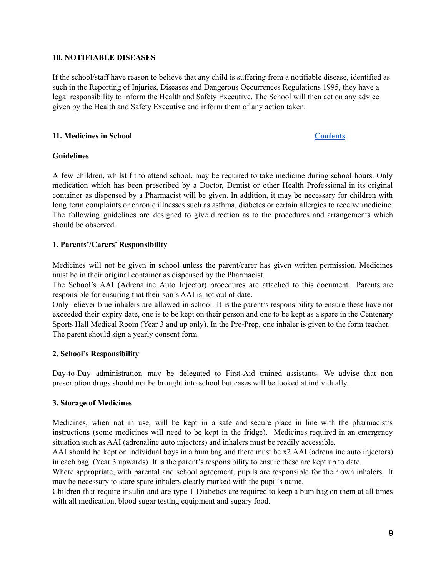#### **10. NOTIFIABLE DISEASES**

If the school/staff have reason to believe that any child is suffering from a notifiable disease, identified as such in the Reporting of Injuries, Diseases and Dangerous Occurrences Regulations 1995, they have a legal responsibility to inform the Health and Safety Executive. The School will then act on any advice given by the Health and Safety Executive and inform them of any action taken.

#### <span id="page-9-0"></span>**11. Medicines in School [Contents](#page-1-0)**

#### **Guidelines**

A few children, whilst fit to attend school, may be required to take medicine during school hours. Only medication which has been prescribed by a Doctor, Dentist or other Health Professional in its original container as dispensed by a Pharmacist will be given. In addition, it may be necessary for children with long term complaints or chronic illnesses such as asthma, diabetes or certain allergies to receive medicine. The following guidelines are designed to give direction as to the procedures and arrangements which should be observed.

#### **1. Parents'/Carers' Responsibility**

Medicines will not be given in school unless the parent/carer has given written permission. Medicines must be in their original container as dispensed by the Pharmacist.

The School's AAI (Adrenaline Auto Injector) procedures are attached to this document. Parents are responsible for ensuring that their son's AAI is not out of date.

Only reliever blue inhalers are allowed in school. It is the parent's responsibility to ensure these have not exceeded their expiry date, one is to be kept on their person and one to be kept as a spare in the Centenary Sports Hall Medical Room (Year 3 and up only). In the Pre-Prep, one inhaler is given to the form teacher. The parent should sign a yearly consent form.

#### **2. School's Responsibility**

Day-to-Day administration may be delegated to First-Aid trained assistants. We advise that non prescription drugs should not be brought into school but cases will be looked at individually.

#### **3. Storage of Medicines**

Medicines, when not in use, will be kept in a safe and secure place in line with the pharmacist's instructions (some medicines will need to be kept in the fridge). Medicines required in an emergency situation such as AAI (adrenaline auto injectors) and inhalers must be readily accessible.

AAI should be kept on individual boys in a bum bag and there must be x2 AAI (adrenaline auto injectors) in each bag. (Year 3 upwards). It is the parent's responsibility to ensure these are kept up to date.

Where appropriate, with parental and school agreement, pupils are responsible for their own inhalers. It may be necessary to store spare inhalers clearly marked with the pupil's name.

Children that require insulin and are type 1 Diabetics are required to keep a bum bag on them at all times with all medication, blood sugar testing equipment and sugary food.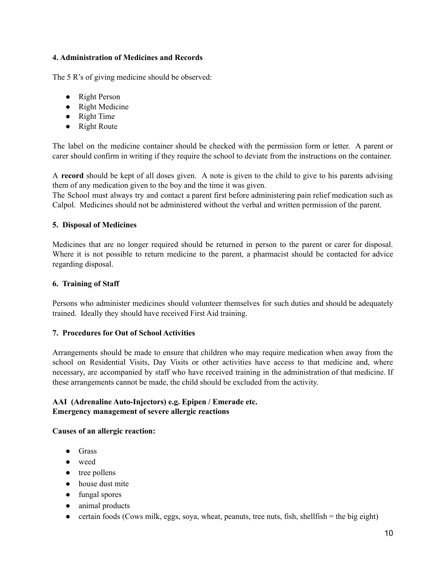#### **4. Administration of Medicines and Records**

The 5 R's of giving medicine should be observed:

- Right Person
- Right Medicine
- Right Time
- Right Route

The label on the medicine container should be checked with the permission form or letter. A parent or carer should confirm in writing if they require the school to deviate from the instructions on the container.

A **record** should be kept of all doses given. A note is given to the child to give to his parents advising them of any medication given to the boy and the time it was given.

The School must always try and contact a parent first before administering pain relief medication such as Calpol. Medicines should not be administered without the verbal and written permission of the parent.

### **5. Disposal of Medicines**

Medicines that are no longer required should be returned in person to the parent or carer for disposal. Where it is not possible to return medicine to the parent, a pharmacist should be contacted for advice regarding disposal.

### **6. Training of Staff**

Persons who administer medicines should volunteer themselves for such duties and should be adequately trained. Ideally they should have received First Aid training.

# **7. Procedures for Out of School Activities**

Arrangements should be made to ensure that children who may require medication when away from the school on Residential Visits, Day Visits or other activities have access to that medicine and, where necessary, are accompanied by staff who have received training in the administration of that medicine. If these arrangements cannot be made, the child should be excluded from the activity.

### **AAI (Adrenaline Auto-Injectors) e.g. Epipen / Emerade etc. Emergency management of severe allergic reactions**

#### **Causes of an allergic reaction:**

- **●** Grass
- **●** weed
- **●** tree pollens
- **●** house dust mite
- **●** fungal spores
- **●** animal products
- certain foods (Cows milk, eggs, soya, wheat, peanuts, tree nuts, fish, shellfish = the big eight)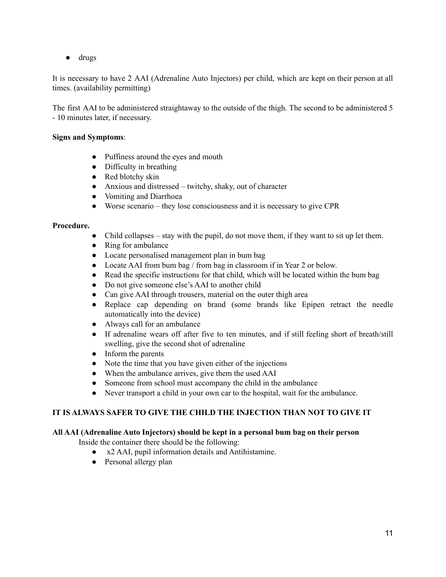**●** drugs

It is necessary to have 2 AAI (Adrenaline Auto Injectors) per child, which are kept on their person at all times. (availability permitting)

The first AAI to be administered straightaway to the outside of the thigh. The second to be administered 5 - 10 minutes later, if necessary.

#### **Signs and Symptoms**:

- Puffiness around the eyes and mouth
- Difficulty in breathing
- Red blotchy skin
- Anxious and distressed twitchy, shaky, out of character
- Vomiting and Diarrhoea
- Worse scenario they lose consciousness and it is necessary to give CPR

#### **Procedure.**

- Child collapses stay with the pupil, do not move them, if they want to sit up let them.
- Ring for ambulance
- Locate personalised management plan in bum bag
- Locate AAI from bum bag / from bag in classroom if in Year 2 or below.
- Read the specific instructions for that child, which will be located within the bum bag
- Do not give someone else's AAI to another child
- Can give AAI through trousers, material on the outer thigh area
- Replace cap depending on brand (some brands like Epipen retract the needle automatically into the device)
- Always call for an ambulance
- If adrenaline wears off after five to ten minutes, and if still feeling short of breath/still swelling, give the second shot of adrenaline
- Inform the parents
- Note the time that you have given either of the injections
- When the ambulance arrives, give them the used AAI
- Someone from school must accompany the child in the ambulance
- Never transport a child in your own car to the hospital, wait for the ambulance.

# **IT IS ALWAYS SAFER TO GIVE THE CHILD THE INJECTION THAN NOT TO GIVE IT**

# **All AAI (Adrenaline Auto Injectors) should be kept in a personal bum bag on their person**

Inside the container there should be the following:

- x2 AAI, pupil information details and Antihistamine.
- Personal allergy plan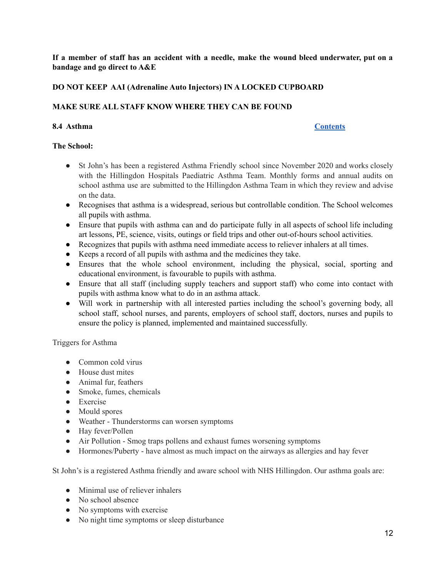If a member of staff has an accident with a needle, make the wound bleed underwater, put on a **bandage and go direct to A&E**

### **DO NOT KEEP AAI (Adrenaline Auto Injectors) IN A LOCKED CUPBOARD**

### **MAKE SURE ALL STAFF KNOW WHERE THEY CAN BE FOUND**

# <span id="page-12-0"></span>**8.4 Asthma [Contents](#page-1-0)**

#### **The School:**

- St John's has been a registered Asthma Friendly school since November 2020 and works closely with the Hillingdon Hospitals Paediatric Asthma Team. Monthly forms and annual audits on school asthma use are submitted to the Hillingdon Asthma Team in which they review and advise on the data.
- Recognises that asthma is a widespread, serious but controllable condition. The School welcomes all pupils with asthma.
- Ensure that pupils with asthma can and do participate fully in all aspects of school life including art lessons, PE, science, visits, outings or field trips and other out-of-hours school activities.
- Recognizes that pupils with asthma need immediate access to reliever inhalers at all times.
- Keeps a record of all pupils with asthma and the medicines they take.
- Ensures that the whole school environment, including the physical, social, sporting and educational environment, is favourable to pupils with asthma.
- Ensure that all staff (including supply teachers and support staff) who come into contact with pupils with asthma know what to do in an asthma attack.
- Will work in partnership with all interested parties including the school's governing body, all school staff, school nurses, and parents, employers of school staff, doctors, nurses and pupils to ensure the policy is planned, implemented and maintained successfully.

#### Triggers for Asthma

- Common cold virus
- House dust mites
- Animal fur, feathers
- Smoke, fumes, chemicals
- Exercise
- Mould spores
- Weather Thunderstorms can worsen symptoms
- Hay fever/Pollen
- Air Pollution Smog traps pollens and exhaust fumes worsening symptoms
- Hormones/Puberty have almost as much impact on the airways as allergies and hay fever

St John's is a registered Asthma friendly and aware school with NHS Hillingdon. Our asthma goals are:

- Minimal use of reliever inhalers
- No school absence
- No symptoms with exercise
- No night time symptoms or sleep disturbance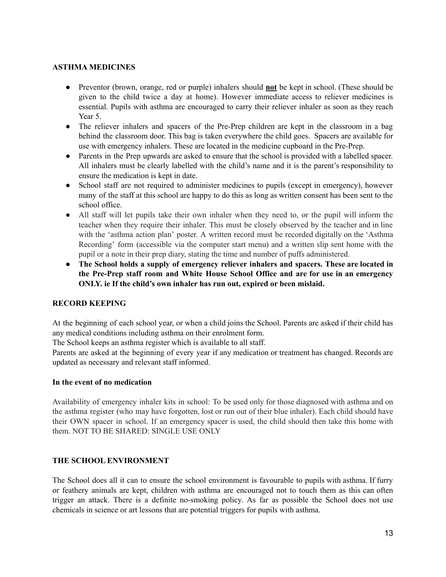#### **ASTHMA MEDICINES**

- Preventor (brown, orange, red or purple) inhalers should **not** be kept in school. (These should be given to the child twice a day at home). However immediate access to reliever medicines is essential. Pupils with asthma are encouraged to carry their reliever inhaler as soon as they reach Year 5.
- The reliever inhalers and spacers of the Pre-Prep children are kept in the classroom in a bag behind the classroom door. This bag is taken everywhere the child goes. Spacers are available for use with emergency inhalers. These are located in the medicine cupboard in the Pre-Prep.
- Parents in the Prep upwards are asked to ensure that the school is provided with a labelled spacer. All inhalers must be clearly labelled with the child's name and it is the parent's responsibility to ensure the medication is kept in date.
- School staff are not required to administer medicines to pupils (except in emergency), however many of the staff at this school are happy to do this as long as written consent has been sent to the school office.
- All staff will let pupils take their own inhaler when they need to, or the pupil will inform the teacher when they require their inhaler. This must be closely observed by the teacher and in line with the 'asthma action plan' poster. A written record must be recorded digitally on the 'Asthma Recording' form (accessible via the computer start menu) and a written slip sent home with the pupil or a note in their prep diary, stating the time and number of puffs administered.
- **● The School holds a supply of emergency reliever inhalers and spacers. These are located in the Pre-Prep staff room and White House School Office and are for use in an emergency ONLY. ie If the child's own inhaler has run out, expired or been mislaid.**

# **RECORD KEEPING**

At the beginning of each school year, or when a child joins the School. Parents are asked if their child has any medical conditions including asthma on their enrolment form.

The School keeps an asthma register which is available to all staff.

Parents are asked at the beginning of every year if any medication or treatment has changed. Records are updated as necessary and relevant staff informed.

#### **In the event of no medication**

Availability of emergency inhaler kits in school: To be used only for those diagnosed with asthma and on the asthma register (who may have forgotten, lost or run out of their blue inhaler). Each child should have their OWN spacer in school. If an emergency spacer is used, the child should then take this home with them. NOT TO BE SHARED: SINGLE USE ONLY

# **THE SCHOOL ENVIRONMENT**

The School does all it can to ensure the school environment is favourable to pupils with asthma. If furry or feathery animals are kept, children with asthma are encouraged not to touch them as this can often trigger an attack. There is a definite no-smoking policy. As far as possible the School does not use chemicals in science or art lessons that are potential triggers for pupils with asthma.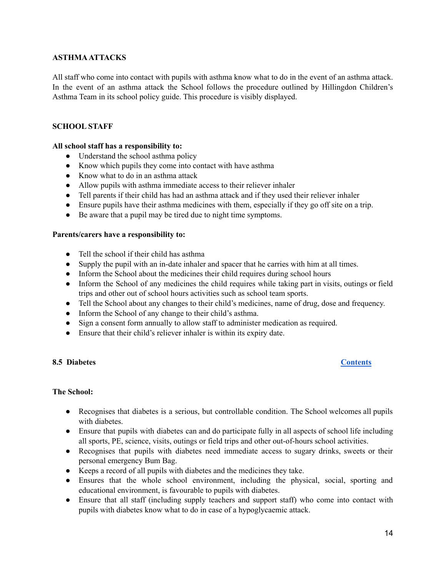#### **ASTHMAATTACKS**

All staff who come into contact with pupils with asthma know what to do in the event of an asthma attack. In the event of an asthma attack the School follows the procedure outlined by Hillingdon Children's Asthma Team in its school policy guide. This procedure is visibly displayed.

### **SCHOOL STAFF**

#### **All school staff has a responsibility to:**

- Understand the school asthma policy
- Know which pupils they come into contact with have asthma
- Know what to do in an asthma attack
- Allow pupils with asthma immediate access to their reliever inhaler
- Tell parents if their child has had an asthma attack and if they used their reliever inhaler
- Ensure pupils have their asthma medicines with them, especially if they go off site on a trip.
- Be aware that a pupil may be tired due to night time symptoms.

#### **Parents/carers have a responsibility to:**

- Tell the school if their child has asthma
- Supply the pupil with an in-date inhaler and spacer that he carries with him at all times.
- Inform the School about the medicines their child requires during school hours
- Inform the School of any medicines the child requires while taking part in visits, outings or field trips and other out of school hours activities such as school team sports.
- Tell the School about any changes to their child's medicines, name of drug, dose and frequency.
- Inform the School of any change to their child's asthma.
- Sign a consent form annually to allow staff to administer medication as required.
- Ensure that their child's reliever inhaler is within its expiry date.

#### <span id="page-14-0"></span>**8.5 Diabetes [Contents](#page-1-0)**

# **The School:**

- Recognises that diabetes is a serious, but controllable condition. The School welcomes all pupils with diabetes.
- Ensure that pupils with diabetes can and do participate fully in all aspects of school life including all sports, PE, science, visits, outings or field trips and other out-of-hours school activities.
- Recognises that pupils with diabetes need immediate access to sugary drinks, sweets or their personal emergency Bum Bag.
- Keeps a record of all pupils with diabetes and the medicines they take.
- Ensures that the whole school environment, including the physical, social, sporting and educational environment, is favourable to pupils with diabetes.
- Ensure that all staff (including supply teachers and support staff) who come into contact with pupils with diabetes know what to do in case of a hypoglycaemic attack.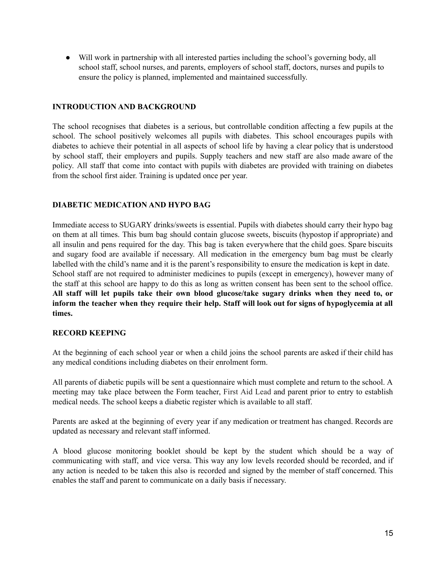● Will work in partnership with all interested parties including the school's governing body, all school staff, school nurses, and parents, employers of school staff, doctors, nurses and pupils to ensure the policy is planned, implemented and maintained successfully.

### **INTRODUCTION AND BACKGROUND**

The school recognises that diabetes is a serious, but controllable condition affecting a few pupils at the school. The school positively welcomes all pupils with diabetes. This school encourages pupils with diabetes to achieve their potential in all aspects of school life by having a clear policy that is understood by school staff, their employers and pupils. Supply teachers and new staff are also made aware of the policy. All staff that come into contact with pupils with diabetes are provided with training on diabetes from the school first aider. Training is updated once per year.

### **DIABETIC MEDICATION AND HYPO BAG**

Immediate access to SUGARY drinks/sweets is essential. Pupils with diabetes should carry their hypo bag on them at all times. This bum bag should contain glucose sweets, biscuits (hypostop if appropriate) and all insulin and pens required for the day. This bag is taken everywhere that the child goes. Spare biscuits and sugary food are available if necessary. All medication in the emergency bum bag must be clearly labelled with the child's name and it is the parent's responsibility to ensure the medication is kept in date. School staff are not required to administer medicines to pupils (except in emergency), however many of the staff at this school are happy to do this as long as written consent has been sent to the school office. **All staff will let pupils take their own blood glucose/take sugary drinks when they need to, or** inform the teacher when they require their help. Staff will look out for signs of hypoglycemia at all **times.**

#### **RECORD KEEPING**

At the beginning of each school year or when a child joins the school parents are asked if their child has any medical conditions including diabetes on their enrolment form.

All parents of diabetic pupils will be sent a questionnaire which must complete and return to the school. A meeting may take place between the Form teacher, First Aid Lead and parent prior to entry to establish medical needs. The school keeps a diabetic register which is available to all staff.

Parents are asked at the beginning of every year if any medication or treatment has changed. Records are updated as necessary and relevant staff informed.

A blood glucose monitoring booklet should be kept by the student which should be a way of communicating with staff, and vice versa. This way any low levels recorded should be recorded, and if any action is needed to be taken this also is recorded and signed by the member of staff concerned. This enables the staff and parent to communicate on a daily basis if necessary.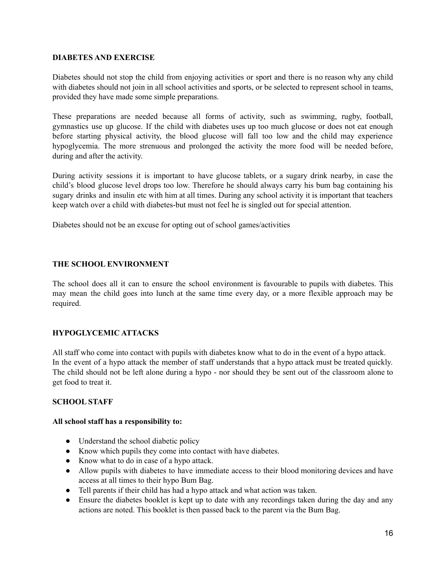#### **DIABETES AND EXERCISE**

Diabetes should not stop the child from enjoying activities or sport and there is no reason why any child with diabetes should not join in all school activities and sports, or be selected to represent school in teams, provided they have made some simple preparations.

These preparations are needed because all forms of activity, such as swimming, rugby, football, gymnastics use up glucose. If the child with diabetes uses up too much glucose or does not eat enough before starting physical activity, the blood glucose will fall too low and the child may experience hypoglycemia. The more strenuous and prolonged the activity the more food will be needed before, during and after the activity.

During activity sessions it is important to have glucose tablets, or a sugary drink nearby, in case the child's blood glucose level drops too low. Therefore he should always carry his bum bag containing his sugary drinks and insulin etc with him at all times. During any school activity it is important that teachers keep watch over a child with diabetes-but must not feel he is singled out for special attention.

Diabetes should not be an excuse for opting out of school games/activities

#### **THE SCHOOL ENVIRONMENT**

The school does all it can to ensure the school environment is favourable to pupils with diabetes. This may mean the child goes into lunch at the same time every day, or a more flexible approach may be required.

# **HYPOGLYCEMIC ATTACKS**

All staff who come into contact with pupils with diabetes know what to do in the event of a hypo attack. In the event of a hypo attack the member of staff understands that a hypo attack must be treated quickly. The child should not be left alone during a hypo - nor should they be sent out of the classroom alone to get food to treat it.

#### **SCHOOL STAFF**

#### **All school staff has a responsibility to:**

- Understand the school diabetic policy
- Know which pupils they come into contact with have diabetes.
- Know what to do in case of a hypo attack.
- Allow pupils with diabetes to have immediate access to their blood monitoring devices and have access at all times to their hypo Bum Bag.
- Tell parents if their child has had a hypo attack and what action was taken.
- Ensure the diabetes booklet is kept up to date with any recordings taken during the day and any actions are noted. This booklet is then passed back to the parent via the Bum Bag.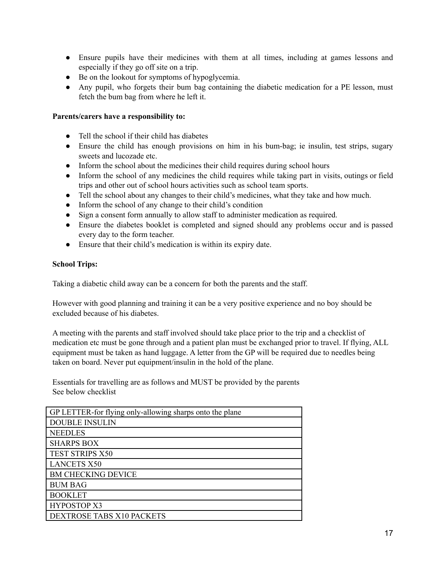- Ensure pupils have their medicines with them at all times, including at games lessons and especially if they go off site on a trip.
- Be on the lookout for symptoms of hypoglycemia.
- Any pupil, who forgets their bum bag containing the diabetic medication for a PE lesson, must fetch the bum bag from where he left it.

### **Parents/carers have a responsibility to:**

- Tell the school if their child has diabetes
- Ensure the child has enough provisions on him in his bum-bag; ie insulin, test strips, sugary sweets and lucozade etc.
- Inform the school about the medicines their child requires during school hours
- Inform the school of any medicines the child requires while taking part in visits, outings or field trips and other out of school hours activities such as school team sports.
- Tell the school about any changes to their child's medicines, what they take and how much.
- Inform the school of any change to their child's condition
- Sign a consent form annually to allow staff to administer medication as required.
- Ensure the diabetes booklet is completed and signed should any problems occur and is passed every day to the form teacher.
- Ensure that their child's medication is within its expiry date.

### **School Trips:**

Taking a diabetic child away can be a concern for both the parents and the staff.

However with good planning and training it can be a very positive experience and no boy should be excluded because of his diabetes.

A meeting with the parents and staff involved should take place prior to the trip and a checklist of medication etc must be gone through and a patient plan must be exchanged prior to travel. If flying, ALL equipment must be taken as hand luggage. A letter from the GP will be required due to needles being taken on board. Never put equipment/insulin in the hold of the plane.

Essentials for travelling are as follows and MUST be provided by the parents See below checklist

| GP LETTER-for flying only-allowing sharps onto the plane |
|----------------------------------------------------------|
| <b>DOUBLE INSULIN</b>                                    |
| <b>NEEDLES</b>                                           |
| <b>SHARPS BOX</b>                                        |
| TEST STRIPS X50                                          |
| <b>LANCETS X50</b>                                       |
| <b>BM CHECKING DEVICE</b>                                |
| <b>BUM BAG</b>                                           |
| <b>BOOKLET</b>                                           |
| <b>HYPOSTOP X3</b>                                       |
| DEXTROSE TABS X10 PACKETS                                |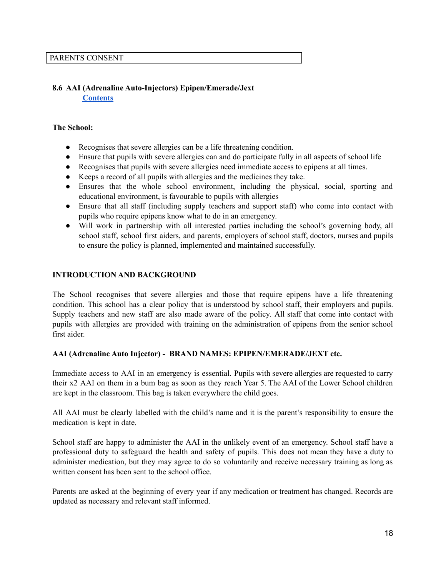### <span id="page-18-0"></span>**8.6 AAI (Adrenaline Auto-Injectors) Epipen/Emerade/Jext [Contents](#page-1-0)**

#### **The School:**

- Recognises that severe allergies can be a life threatening condition.
- Ensure that pupils with severe allergies can and do participate fully in all aspects of school life
- Recognises that pupils with severe allergies need immediate access to epipens at all times.
- Keeps a record of all pupils with allergies and the medicines they take.
- Ensures that the whole school environment, including the physical, social, sporting and educational environment, is favourable to pupils with allergies
- Ensure that all staff (including supply teachers and support staff) who come into contact with pupils who require epipens know what to do in an emergency.
- Will work in partnership with all interested parties including the school's governing body, all school staff, school first aiders, and parents, employers of school staff, doctors, nurses and pupils to ensure the policy is planned, implemented and maintained successfully.

### **INTRODUCTION AND BACKGROUND**

The School recognises that severe allergies and those that require epipens have a life threatening condition. This school has a clear policy that is understood by school staff, their employers and pupils. Supply teachers and new staff are also made aware of the policy. All staff that come into contact with pupils with allergies are provided with training on the administration of epipens from the senior school first aider.

#### **AAI (Adrenaline Auto Injector) - BRAND NAMES: EPIPEN/EMERADE/JEXT etc.**

Immediate access to AAI in an emergency is essential. Pupils with severe allergies are requested to carry their x2 AAI on them in a bum bag as soon as they reach Year 5. The AAI of the Lower School children are kept in the classroom. This bag is taken everywhere the child goes.

All AAI must be clearly labelled with the child's name and it is the parent's responsibility to ensure the medication is kept in date.

School staff are happy to administer the AAI in the unlikely event of an emergency. School staff have a professional duty to safeguard the health and safety of pupils. This does not mean they have a duty to administer medication, but they may agree to do so voluntarily and receive necessary training as long as written consent has been sent to the school office.

Parents are asked at the beginning of every year if any medication or treatment has changed. Records are updated as necessary and relevant staff informed.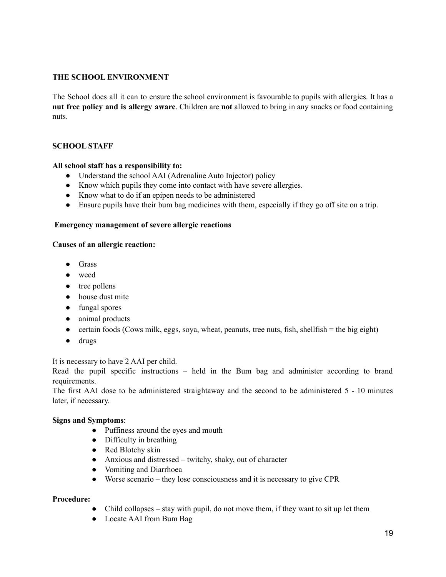### **THE SCHOOL ENVIRONMENT**

The School does all it can to ensure the school environment is favourable to pupils with allergies. It has a **nut free policy and is allergy aware**. Children are **not** allowed to bring in any snacks or food containing nuts.

### **SCHOOL STAFF**

#### **All school staff has a responsibility to:**

- Understand the school AAI (Adrenaline Auto Injector) policy
- Know which pupils they come into contact with have severe allergies.
- Know what to do if an epipen needs to be administered
- Ensure pupils have their bum bag medicines with them, especially if they go off site on a trip.

#### **Emergency management of severe allergic reactions**

#### **Causes of an allergic reaction:**

- **●** Grass
- **●** weed
- **●** tree pollens
- **●** house dust mite
- **●** fungal spores
- **●** animal products
- $\bullet$  certain foods (Cows milk, eggs, soya, wheat, peanuts, tree nuts, fish, shellfish  $=$  the big eight)
- **●** drugs

It is necessary to have 2 AAI per child.

Read the pupil specific instructions – held in the Bum bag and administer according to brand requirements.

The first AAI dose to be administered straightaway and the second to be administered 5 - 10 minutes later, if necessary.

#### **Signs and Symptoms**:

- Puffiness around the eyes and mouth
	- Difficulty in breathing
	- Red Blotchy skin
	- Anxious and distressed twitchy, shaky, out of character
	- Vomiting and Diarrhoea
	- Worse scenario they lose consciousness and it is necessary to give CPR

#### **Procedure:**

- Child collapses stay with pupil, do not move them, if they want to sit up let them
- Locate AAI from Bum Bag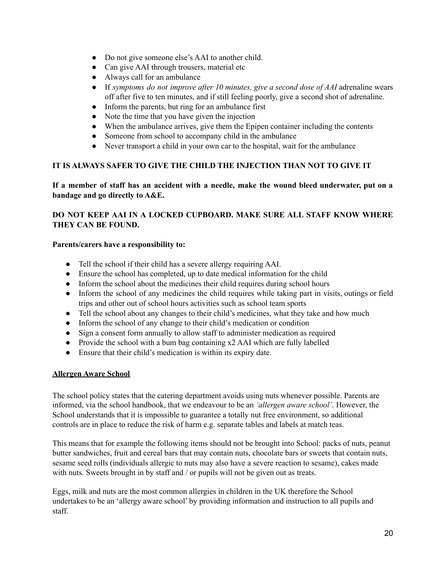- Do not give someone else's AAI to another child.
- Can give AAI through trousers, material etc
- Always call for an ambulance
- If *symptoms do not improve after 10 minutes, give a second dose of AAI* adrenaline wears off after five to ten minutes, and if still feeling poorly, give a second shot of adrenaline.
- Inform the parents, but ring for an ambulance first
- Note the time that you have given the injection
- When the ambulance arrives, give them the Epipen container including the contents
- Someone from school to accompany child in the ambulance
- Never transport a child in your own car to the hospital, wait for the ambulance

# **IT IS ALWAYS SAFER TO GIVE THE CHILD THE INJECTION THAN NOT TO GIVE IT**

# If a member of staff has an accident with a needle, make the wound bleed underwater, put on a **bandage and go directly to A&E.**

# **DO NOT KEEP AAI IN A LOCKED CUPBOARD. MAKE SURE ALL STAFF KNOW WHERE THEY CAN BE FOUND.**

# **Parents/carers have a responsibility to:**

- Tell the school if their child has a severe allergy requiring AAI.
- Ensure the school has completed, up to date medical information for the child
- Inform the school about the medicines their child requires during school hours
- Inform the school of any medicines the child requires while taking part in visits, outings or field trips and other out of school hours activities such as school team sports
- Tell the school about any changes to their child's medicines, what they take and how much
- Inform the school of any change to their child's medication or condition
- Sign a consent form annually to allow staff to administer medication as required
- Provide the school with a bum bag containing x2 AAI which are fully labelled
- Ensure that their child's medication is within its expiry date.

# **Allergen Aware School**

The school policy states that the catering department avoids using nuts whenever possible. Parents are informed, via the school handbook, that we endeavour to be an *'allergen aware school'*. However, the School understands that it is impossible to guarantee a totally nut free environment, so additional controls are in place to reduce the risk of harm e.g. separate tables and labels at match teas.

This means that for example the following items should not be brought into School: packs of nuts, peanut butter sandwiches, fruit and cereal bars that may contain nuts, chocolate bars or sweets that contain nuts, sesame seed rolls (individuals allergic to nuts may also have a severe reaction to sesame), cakes made with nuts. Sweets brought in by staff and / or pupils will not be given out as treats.

Eggs, milk and nuts are the most common allergies in children in the UK therefore the School undertakes to be an 'allergy aware school' by providing information and instruction to all pupils and staff.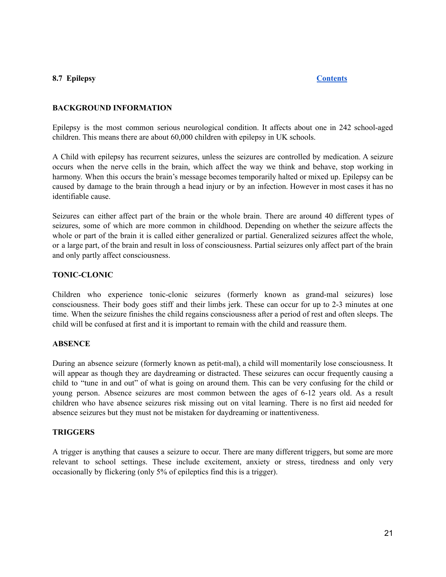### <span id="page-21-0"></span>**8.7 Epilepsy [Contents](#page-1-0)**

### **BACKGROUND INFORMATION**

Epilepsy is the most common serious neurological condition. It affects about one in 242 school-aged children. This means there are about 60,000 children with epilepsy in UK schools.

A Child with epilepsy has recurrent seizures, unless the seizures are controlled by medication. A seizure occurs when the nerve cells in the brain, which affect the way we think and behave, stop working in harmony. When this occurs the brain's message becomes temporarily halted or mixed up. Epilepsy can be caused by damage to the brain through a head injury or by an infection. However in most cases it has no identifiable cause.

Seizures can either affect part of the brain or the whole brain. There are around 40 different types of seizures, some of which are more common in childhood. Depending on whether the seizure affects the whole or part of the brain it is called either generalized or partial. Generalized seizures affect the whole, or a large part, of the brain and result in loss of consciousness. Partial seizures only affect part of the brain and only partly affect consciousness.

### **TONIC-CLONIC**

Children who experience tonic-clonic seizures (formerly known as grand-mal seizures) lose consciousness. Their body goes stiff and their limbs jerk. These can occur for up to 2-3 minutes at one time. When the seizure finishes the child regains consciousness after a period of rest and often sleeps. The child will be confused at first and it is important to remain with the child and reassure them.

#### **ABSENCE**

During an absence seizure (formerly known as petit-mal), a child will momentarily lose consciousness. It will appear as though they are daydreaming or distracted. These seizures can occur frequently causing a child to "tune in and out" of what is going on around them. This can be very confusing for the child or young person. Absence seizures are most common between the ages of 6-12 years old. As a result children who have absence seizures risk missing out on vital learning. There is no first aid needed for absence seizures but they must not be mistaken for daydreaming or inattentiveness.

#### **TRIGGERS**

A trigger is anything that causes a seizure to occur. There are many different triggers, but some are more relevant to school settings. These include excitement, anxiety or stress, tiredness and only very occasionally by flickering (only 5% of epileptics find this is a trigger).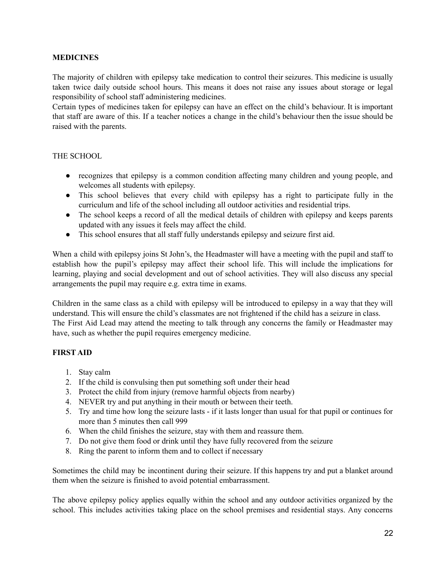### **MEDICINES**

The majority of children with epilepsy take medication to control their seizures. This medicine is usually taken twice daily outside school hours. This means it does not raise any issues about storage or legal responsibility of school staff administering medicines.

Certain types of medicines taken for epilepsy can have an effect on the child's behaviour. It is important that staff are aware of this. If a teacher notices a change in the child's behaviour then the issue should be raised with the parents.

#### THE SCHOOL

- recognizes that epilepsy is a common condition affecting many children and young people, and welcomes all students with epilepsy.
- This school believes that every child with epilepsy has a right to participate fully in the curriculum and life of the school including all outdoor activities and residential trips.
- The school keeps a record of all the medical details of children with epilepsy and keeps parents updated with any issues it feels may affect the child.
- This school ensures that all staff fully understands epilepsy and seizure first aid.

When a child with epilepsy joins St John's, the Headmaster will have a meeting with the pupil and staff to establish how the pupil's epilepsy may affect their school life. This will include the implications for learning, playing and social development and out of school activities. They will also discuss any special arrangements the pupil may require e.g. extra time in exams.

Children in the same class as a child with epilepsy will be introduced to epilepsy in a way that they will understand. This will ensure the child's classmates are not frightened if the child has a seizure in class. The First Aid Lead may attend the meeting to talk through any concerns the family or Headmaster may have, such as whether the pupil requires emergency medicine.

# **FIRST AID**

- 1. Stay calm
- 2. If the child is convulsing then put something soft under their head
- 3. Protect the child from injury (remove harmful objects from nearby)
- 4. NEVER try and put anything in their mouth or between their teeth.
- 5. Try and time how long the seizure lasts if it lasts longer than usual for that pupil or continues for more than 5 minutes then call 999
- 6. When the child finishes the seizure, stay with them and reassure them.
- 7. Do not give them food or drink until they have fully recovered from the seizure
- 8. Ring the parent to inform them and to collect if necessary

Sometimes the child may be incontinent during their seizure. If this happens try and put a blanket around them when the seizure is finished to avoid potential embarrassment.

The above epilepsy policy applies equally within the school and any outdoor activities organized by the school. This includes activities taking place on the school premises and residential stays. Any concerns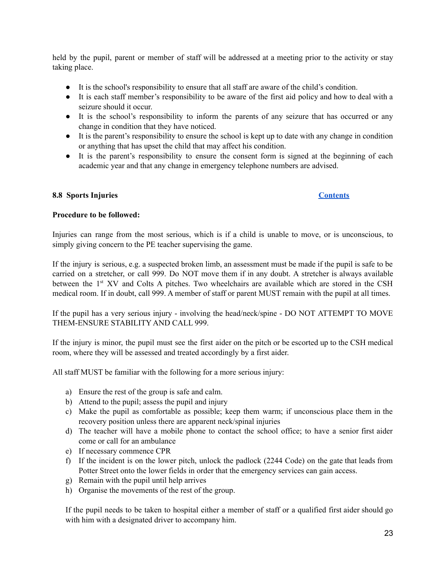held by the pupil, parent or member of staff will be addressed at a meeting prior to the activity or stay taking place.

- It is the school's responsibility to ensure that all staff are aware of the child's condition.
- It is each staff member's responsibility to be aware of the first aid policy and how to deal with a seizure should it occur.
- It is the school's responsibility to inform the parents of any seizure that has occurred or any change in condition that they have noticed.
- It is the parent's responsibility to ensure the school is kept up to date with any change in condition or anything that has upset the child that may affect his condition.
- It is the parent's responsibility to ensure the consent form is signed at the beginning of each academic year and that any change in emergency telephone numbers are advised.

### <span id="page-23-0"></span>**8.8 Sports Injuries [Contents](#page-1-0)**

#### **Procedure to be followed:**

Injuries can range from the most serious, which is if a child is unable to move, or is unconscious, to simply giving concern to the PE teacher supervising the game.

If the injury is serious, e.g. a suspected broken limb, an assessment must be made if the pupil is safe to be carried on a stretcher, or call 999. Do NOT move them if in any doubt. A stretcher is always available between the 1<sup>st</sup> XV and Colts A pitches. Two wheelchairs are available which are stored in the CSH medical room. If in doubt, call 999. A member of staff or parent MUST remain with the pupil at all times.

If the pupil has a very serious injury - involving the head/neck/spine - DO NOT ATTEMPT TO MOVE THEM-ENSURE STABILITY AND CALL 999.

If the injury is minor, the pupil must see the first aider on the pitch or be escorted up to the CSH medical room, where they will be assessed and treated accordingly by a first aider.

All staff MUST be familiar with the following for a more serious injury:

- a) Ensure the rest of the group is safe and calm.
- b) Attend to the pupil; assess the pupil and injury
- c) Make the pupil as comfortable as possible; keep them warm; if unconscious place them in the recovery position unless there are apparent neck/spinal injuries
- d) The teacher will have a mobile phone to contact the school office; to have a senior first aider come or call for an ambulance
- e) If necessary commence CPR
- f) If the incident is on the lower pitch, unlock the padlock (2244 Code) on the gate that leads from Potter Street onto the lower fields in order that the emergency services can gain access.
- g) Remain with the pupil until help arrives
- h) Organise the movements of the rest of the group.

If the pupil needs to be taken to hospital either a member of staff or a qualified first aider should go with him with a designated driver to accompany him.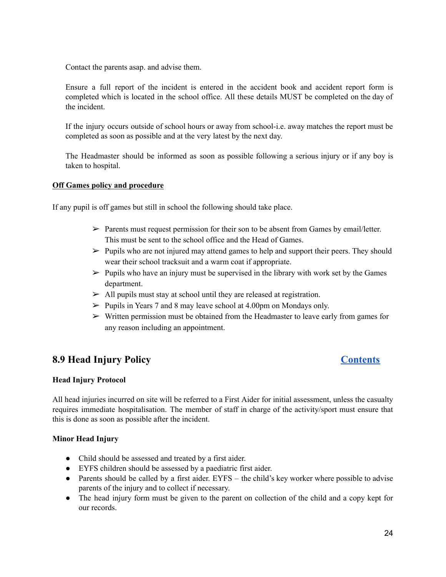Contact the parents asap. and advise them.

Ensure a full report of the incident is entered in the accident book and accident report form is completed which is located in the school office. All these details MUST be completed on the day of the incident.

If the injury occurs outside of school hours or away from school-i.e. away matches the report must be completed as soon as possible and at the very latest by the next day.

The Headmaster should be informed as soon as possible following a serious injury or if any boy is taken to hospital.

#### **Off Games policy and procedure**

If any pupil is off games but still in school the following should take place.

- $\triangleright$  Parents must request permission for their son to be absent from Games by email/letter. This must be sent to the school office and the Head of Games.
- $\triangleright$  Pupils who are not injured may attend games to help and support their peers. They should wear their school tracksuit and a warm coat if appropriate.
- $\triangleright$  Pupils who have an injury must be supervised in the library with work set by the Games department.
- $\triangleright$  All pupils must stay at school until they are released at registration.
- $\triangleright$  Pupils in Years 7 and 8 may leave school at 4.00pm on Mondays only.
- $\triangleright$  Written permission must be obtained from the Headmaster to leave early from games for any reason including an appointment.

# <span id="page-24-0"></span>**8.9 Head Injury Policy [Contents](#page-1-0)**

#### **Head Injury Protocol**

All head injuries incurred on site will be referred to a First Aider for initial assessment, unless the casualty requires immediate hospitalisation. The member of staff in charge of the activity/sport must ensure that this is done as soon as possible after the incident.

#### **Minor Head Injury**

- Child should be assessed and treated by a first aider.
- EYFS children should be assessed by a paediatric first aider.
- Parents should be called by a first aider. EYFS the child's key worker where possible to advise parents of the injury and to collect if necessary.
- The head injury form must be given to the parent on collection of the child and a copy kept for our records.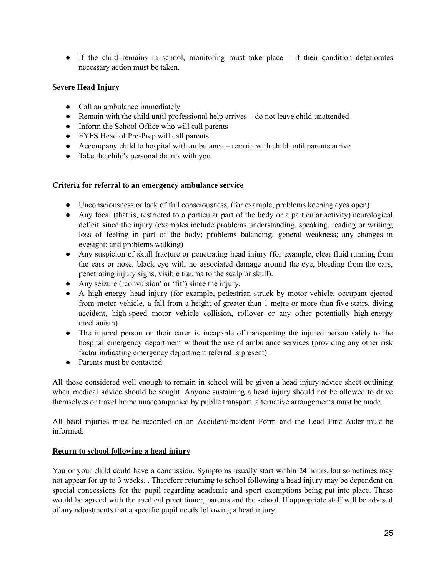$\bullet$  If the child remains in school, monitoring must take place – if their condition deteriorates necessary action must be taken.

# **Severe Head Injury**

- Call an ambulance immediately
- Remain with the child until professional help arrives do not leave child unattended
- Inform the School Office who will call parents
- EYFS Head of Pre-Prep will call parents
- Accompany child to hospital with ambulance remain with child until parents arrive
- Take the child's personal details with you.

### **Criteria for referral to an emergency ambulance service**

- Unconsciousness or lack of full consciousness, (for example, problems keeping eyes open)
- Any focal (that is, restricted to a particular part of the body or a particular activity) neurological deficit since the injury (examples include problems understanding, speaking, reading or writing; loss of feeling in part of the body; problems balancing; general weakness; any changes in eyesight; and problems walking)
- Any suspicion of skull fracture or penetrating head injury (for example, clear fluid running from the ears or nose, black eye with no associated damage around the eye, bleeding from the ears, penetrating injury signs, visible trauma to the scalp or skull).
- Any seizure ('convulsion' or 'fit') since the injury.
- A high-energy head injury (for example, pedestrian struck by motor vehicle, occupant ejected from motor vehicle, a fall from a height of greater than 1 metre or more than five stairs, diving accident, high-speed motor vehicle collision, rollover or any other potentially high-energy mechanism)
- The injured person or their carer is incapable of transporting the injured person safely to the hospital emergency department without the use of ambulance services (providing any other risk factor indicating emergency department referral is present).
- Parents must be contacted

All those considered well enough to remain in school will be given a head injury advice sheet outlining when medical advice should be sought. Anyone sustaining a head injury should not be allowed to drive themselves or travel home unaccompanied by public transport, alternative arrangements must be made.

All head injuries must be recorded on an Accident/Incident Form and the Lead First Aider must be informed.

# **Return to school following a head injury**

You or your child could have a concussion. Symptoms usually start within 24 hours, but sometimes may not appear for up to 3 weeks. . Therefore returning to school following a head injury may be dependent on special concessions for the pupil regarding academic and sport exemptions being put into place. These would be agreed with the medical practitioner, parents and the school. If appropriate staff will be advised of any adjustments that a specific pupil needs following a head injury.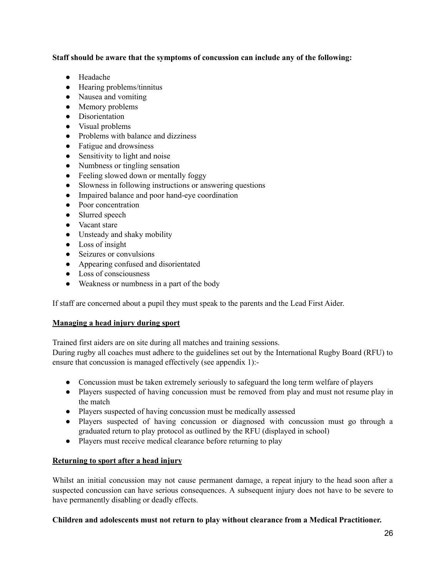### **Staff should be aware that the symptoms of concussion can include any of the following:**

- Headache
- Hearing problems/tinnitus
- Nausea and vomiting
- Memory problems
- Disorientation
- Visual problems
- Problems with balance and dizziness
- Fatigue and drowsiness
- Sensitivity to light and noise
- Numbness or tingling sensation
- Feeling slowed down or mentally foggy
- Slowness in following instructions or answering questions
- Impaired balance and poor hand-eye coordination
- Poor concentration
- Slurred speech
- Vacant stare
- Unsteady and shaky mobility
- Loss of insight
- Seizures or convulsions
- Appearing confused and disorientated
- Loss of consciousness
- Weakness or numbness in a part of the body

If staff are concerned about a pupil they must speak to the parents and the Lead First Aider.

# **Managing a head injury during sport**

Trained first aiders are on site during all matches and training sessions.

During rugby all coaches must adhere to the guidelines set out by the International Rugby Board (RFU) to ensure that concussion is managed effectively (see appendix 1):-

- Concussion must be taken extremely seriously to safeguard the long term welfare of players
- Players suspected of having concussion must be removed from play and must not resume play in the match
- Players suspected of having concussion must be medically assessed
- Players suspected of having concussion or diagnosed with concussion must go through a graduated return to play protocol as outlined by the RFU (displayed in school)
- Players must receive medical clearance before returning to play

# **Returning to sport after a head injury**

Whilst an initial concussion may not cause permanent damage, a repeat injury to the head soon after a suspected concussion can have serious consequences. A subsequent injury does not have to be severe to have permanently disabling or deadly effects.

# **Children and adolescents must not return to play without clearance from a Medical Practitioner.**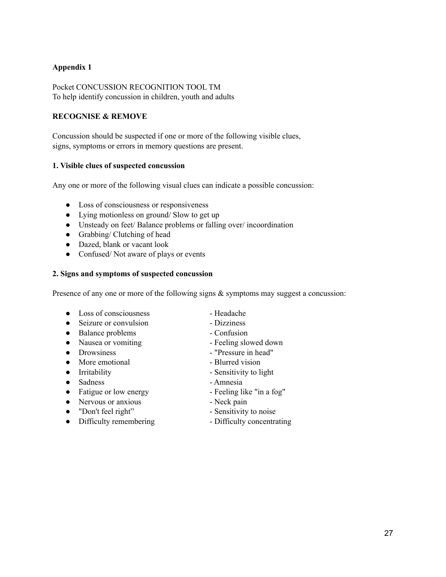# **Appendix 1**

Pocket CONCUSSION RECOGNITION TOOL TM To help identify concussion in children, youth and adults

# **RECOGNISE & REMOVE**

Concussion should be suspected if one or more of the following visible clues, signs, symptoms or errors in memory questions are present.

### **1. Visible clues of suspected concussion**

Any one or more of the following visual clues can indicate a possible concussion:

- Loss of consciousness or responsiveness
- Lying motionless on ground/ Slow to get up
- Unsteady on feet/ Balance problems or falling over/ incoordination
- $\bullet$  Grabbing/ Clutching of head
- Dazed, blank or vacant look
- Confused/Not aware of plays or events

#### **2. Signs and symptoms of suspected concussion**

Presence of any one or more of the following signs  $\&$  symptoms may suggest a concussion:

- Loss of consciousness Headache
- Seizure or convulsion Dizziness
- Balance problems Confusion
- 
- 
- More emotional Blurred vision
- 
- Sadness Amnesia
- Fatigue or low energy Feeling like "in a fog"
- Nervous or anxious Neck pain
- "Don't feel right" Sensitivity to noise
- Difficulty remembering Difficulty concentrating
- 
- 
- 
- Nausea or vomiting Feeling slowed down
- Drowsiness "Pressure in head"
	-
- Irritability  **Sensitivity to light** 
	-
	-
	-
	-
	-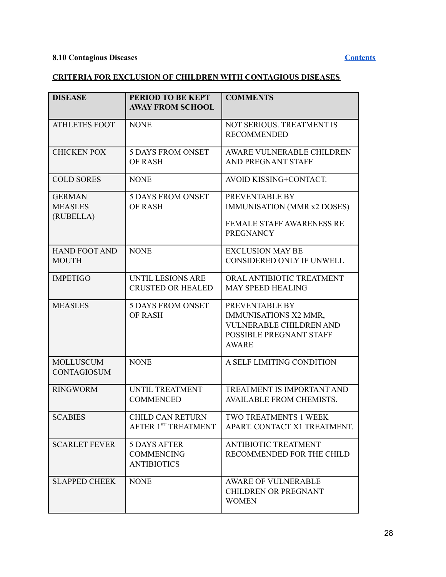# **8.10 Contagious Diseases [Contents](#page-1-0)**

# **CRITERIA FOR EXCLUSION OF CHILDREN WITH CONTAGIOUS DISEASES**

| <b>DISEASE</b>                               | PERIOD TO BE KEPT<br><b>AWAY FROM SCHOOL</b>                   | <b>COMMENTS</b>                                                                                                      |
|----------------------------------------------|----------------------------------------------------------------|----------------------------------------------------------------------------------------------------------------------|
| <b>ATHLETES FOOT</b>                         | <b>NONE</b>                                                    | NOT SERIOUS. TREATMENT IS<br><b>RECOMMENDED</b>                                                                      |
| <b>CHICKEN POX</b>                           | <b>5 DAYS FROM ONSET</b><br>OF RASH                            | AWARE VULNERABLE CHILDREN<br>AND PREGNANT STAFF                                                                      |
| <b>COLD SORES</b>                            | <b>NONE</b>                                                    | AVOID KISSING+CONTACT.                                                                                               |
| <b>GERMAN</b><br><b>MEASLES</b><br>(RUBELLA) | <b>5 DAYS FROM ONSET</b><br><b>OF RASH</b>                     | PREVENTABLE BY<br>IMMUNISATION (MMR x2 DOSES)<br>FEMALE STAFF AWARENESS RE                                           |
|                                              |                                                                | <b>PREGNANCY</b>                                                                                                     |
| <b>HAND FOOT AND</b><br><b>MOUTH</b>         | <b>NONE</b>                                                    | <b>EXCLUSION MAY BE</b><br>CONSIDERED ONLY IF UNWELL                                                                 |
| <b>IMPETIGO</b>                              | UNTIL LESIONS ARE<br><b>CRUSTED OR HEALED</b>                  | ORAL ANTIBIOTIC TREATMENT<br><b>MAY SPEED HEALING</b>                                                                |
| <b>MEASLES</b>                               | <b>5 DAYS FROM ONSET</b><br>OF RASH                            | PREVENTABLE BY<br>IMMUNISATIONS X2 MMR,<br><b>VULNERABLE CHILDREN AND</b><br>POSSIBLE PREGNANT STAFF<br><b>AWARE</b> |
| <b>MOLLUSCUM</b><br><b>CONTAGIOSUM</b>       | <b>NONE</b>                                                    | A SELF LIMITING CONDITION                                                                                            |
| <b>RINGWORM</b>                              | UNTIL TREATMENT<br><b>COMMENCED</b>                            | TREATMENT IS IMPORTANT AND<br><b>AVAILABLE FROM CHEMISTS.</b>                                                        |
| <b>SCABIES</b>                               | CHILD CAN RETURN<br>AFTER 1ST TREATMENT                        | TWO TREATMENTS 1 WEEK<br>APART. CONTACT X1 TREATMENT.                                                                |
| <b>SCARLET FEVER</b>                         | <b>5 DAYS AFTER</b><br><b>COMMENCING</b><br><b>ANTIBIOTICS</b> | <b>ANTIBIOTIC TREATMENT</b><br>RECOMMENDED FOR THE CHILD                                                             |
| <b>SLAPPED CHEEK</b>                         | <b>NONE</b>                                                    | <b>AWARE OF VULNERABLE</b><br><b>CHILDREN OR PREGNANT</b><br><b>WOMEN</b>                                            |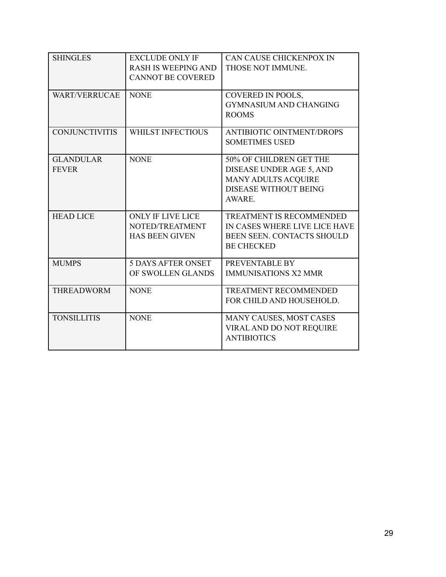| <b>SHINGLES</b>                  | <b>EXCLUDE ONLY IF</b><br><b>RASH IS WEEPING AND</b><br><b>CANNOT BE COVERED</b> | CAN CAUSE CHICKENPOX IN<br>THOSE NOT IMMUNE.                                                                                |
|----------------------------------|----------------------------------------------------------------------------------|-----------------------------------------------------------------------------------------------------------------------------|
| <b>WART/VERRUCAE</b>             | <b>NONE</b>                                                                      | COVERED IN POOLS,<br><b>GYMNASIUM AND CHANGING</b><br><b>ROOMS</b>                                                          |
| <b>CONJUNCTIVITIS</b>            | <b>WHILST INFECTIOUS</b>                                                         | <b>ANTIBIOTIC OINTMENT/DROPS</b><br><b>SOMETIMES USED</b>                                                                   |
| <b>GLANDULAR</b><br><b>FEVER</b> | <b>NONE</b>                                                                      | 50% OF CHILDREN GET THE<br>DISEASE UNDER AGE 5, AND<br><b>MANY ADULTS ACQUIRE</b><br><b>DISEASE WITHOUT BEING</b><br>AWARE. |
| <b>HEAD LICE</b>                 | ONLY IF LIVE LICE<br>NOTED/TREATMENT<br><b>HAS BEEN GIVEN</b>                    | <b>TREATMENT IS RECOMMENDED</b><br>IN CASES WHERE LIVE LICE HAVE<br>BEEN SEEN. CONTACTS SHOULD<br><b>BE CHECKED</b>         |
| <b>MUMPS</b>                     | <b>5 DAYS AFTER ONSET</b><br>OF SWOLLEN GLANDS                                   | PREVENTABLE BY<br><b>IMMUNISATIONS X2 MMR</b>                                                                               |
| <b>THREADWORM</b>                | <b>NONE</b>                                                                      | <b>TREATMENT RECOMMENDED</b><br>FOR CHILD AND HOUSEHOLD.                                                                    |
| <b>TONSILLITIS</b>               | <b>NONE</b>                                                                      | MANY CAUSES, MOST CASES<br>VIRAL AND DO NOT REQUIRE<br><b>ANTIBIOTICS</b>                                                   |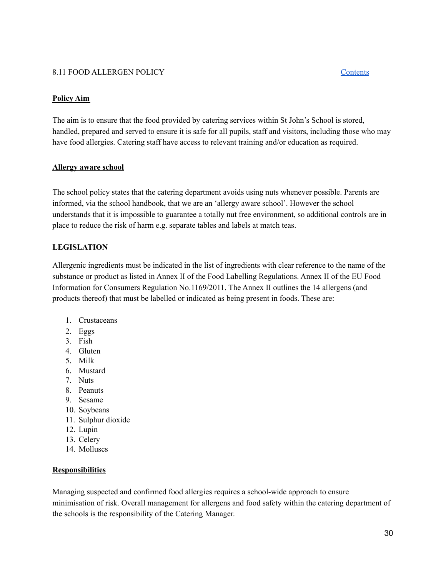# <span id="page-30-0"></span>8.11 FOOD ALLERGEN POLICY [Contents](#page-1-0)

### **Policy Aim**

The aim is to ensure that the food provided by catering services within St John's School is stored, handled, prepared and served to ensure it is safe for all pupils, staff and visitors, including those who may have food allergies. Catering staff have access to relevant training and/or education as required.

#### **Allergy aware school**

The school policy states that the catering department avoids using nuts whenever possible. Parents are informed, via the school handbook, that we are an 'allergy aware school'. However the school understands that it is impossible to guarantee a totally nut free environment, so additional controls are in place to reduce the risk of harm e.g. separate tables and labels at match teas.

### **LEGISLATION**

Allergenic ingredients must be indicated in the list of ingredients with clear reference to the name of the substance or product as listed in Annex II of the Food Labelling Regulations. Annex II of the EU Food Information for Consumers Regulation No.1169/2011. The Annex II outlines the 14 allergens (and products thereof) that must be labelled or indicated as being present in foods. These are:

- 1. Crustaceans
- 2. Eggs
- 3. Fish
- 4. Gluten
- 5. Milk
- 6. Mustard
- 7. Nuts
- 8. Peanuts
- 9. Sesame
- 10. Soybeans
- 11. Sulphur dioxide
- 12. Lupin
- 13. Celery
- 14. Molluscs

#### **Responsibilities**

Managing suspected and confirmed food allergies requires a school-wide approach to ensure minimisation of risk. Overall management for allergens and food safety within the catering department of the schools is the responsibility of the Catering Manager.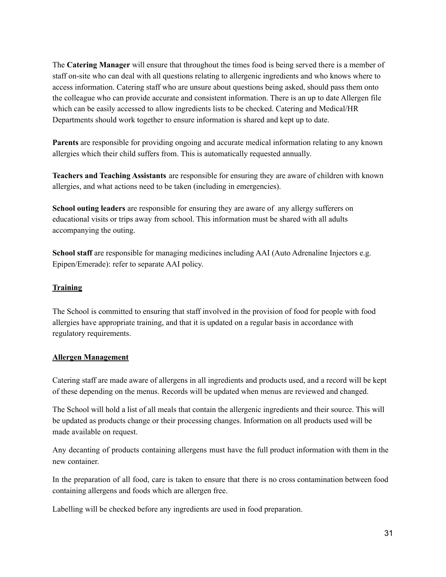The **Catering Manager** will ensure that throughout the times food is being served there is a member of staff on-site who can deal with all questions relating to allergenic ingredients and who knows where to access information. Catering staff who are unsure about questions being asked, should pass them onto the colleague who can provide accurate and consistent information. There is an up to date Allergen file which can be easily accessed to allow ingredients lists to be checked. Catering and Medical/HR Departments should work together to ensure information is shared and kept up to date.

**Parents** are responsible for providing ongoing and accurate medical information relating to any known allergies which their child suffers from. This is automatically requested annually.

**Teachers and Teaching Assistants** are responsible for ensuring they are aware of children with known allergies, and what actions need to be taken (including in emergencies).

**School outing leaders** are responsible for ensuring they are aware of any allergy sufferers on educational visits or trips away from school. This information must be shared with all adults accompanying the outing.

**School staff** are responsible for managing medicines including AAI (Auto Adrenaline Injectors e.g. Epipen/Emerade): refer to separate AAI policy.

# **Training**

The School is committed to ensuring that staff involved in the provision of food for people with food allergies have appropriate training, and that it is updated on a regular basis in accordance with regulatory requirements.

# **Allergen Management**

Catering staff are made aware of allergens in all ingredients and products used, and a record will be kept of these depending on the menus. Records will be updated when menus are reviewed and changed.

The School will hold a list of all meals that contain the allergenic ingredients and their source. This will be updated as products change or their processing changes. Information on all products used will be made available on request.

Any decanting of products containing allergens must have the full product information with them in the new container.

In the preparation of all food, care is taken to ensure that there is no cross contamination between food containing allergens and foods which are allergen free.

Labelling will be checked before any ingredients are used in food preparation.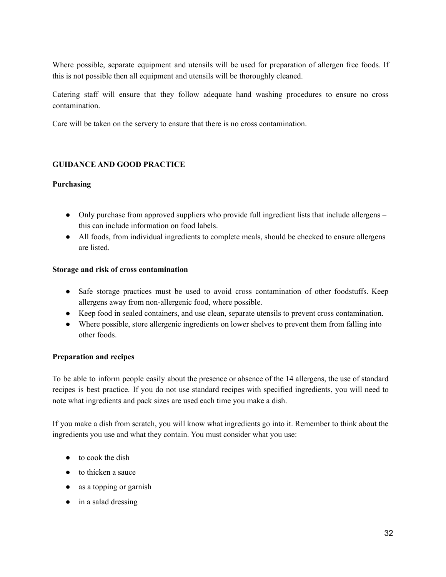Where possible, separate equipment and utensils will be used for preparation of allergen free foods. If this is not possible then all equipment and utensils will be thoroughly cleaned.

Catering staff will ensure that they follow adequate hand washing procedures to ensure no cross contamination.

Care will be taken on the servery to ensure that there is no cross contamination.

# **GUIDANCE AND GOOD PRACTICE**

### **Purchasing**

- Only purchase from approved suppliers who provide full ingredient lists that include allergens this can include information on food labels.
- All foods, from individual ingredients to complete meals, should be checked to ensure allergens are listed.

### **Storage and risk of cross contamination**

- Safe storage practices must be used to avoid cross contamination of other foodstuffs. Keep allergens away from non-allergenic food, where possible.
- Keep food in sealed containers, and use clean, separate utensils to prevent cross contamination.
- Where possible, store allergenic ingredients on lower shelves to prevent them from falling into other foods.

# **Preparation and recipes**

To be able to inform people easily about the presence or absence of the 14 allergens, the use of standard recipes is best practice. If you do not use standard recipes with specified ingredients, you will need to note what ingredients and pack sizes are used each time you make a dish.

If you make a dish from scratch, you will know what ingredients go into it. Remember to think about the ingredients you use and what they contain. You must consider what you use:

- to cook the dish
- to thicken a sauce
- as a topping or garnish
- in a salad dressing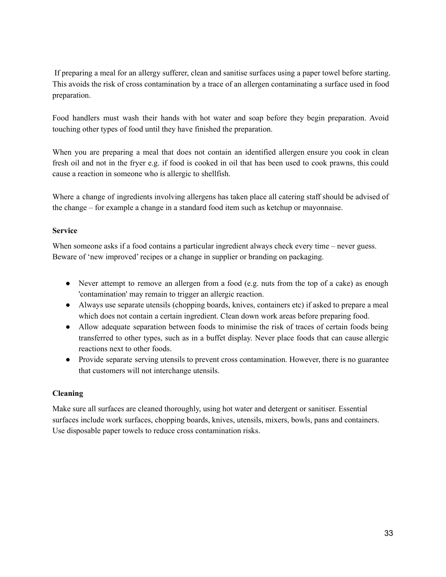If preparing a meal for an allergy sufferer, clean and sanitise surfaces using a paper towel before starting. This avoids the risk of cross contamination by a trace of an allergen contaminating a surface used in food preparation.

Food handlers must wash their hands with hot water and soap before they begin preparation. Avoid touching other types of food until they have finished the preparation.

When you are preparing a meal that does not contain an identified allergen ensure you cook in clean fresh oil and not in the fryer e.g. if food is cooked in oil that has been used to cook prawns, this could cause a reaction in someone who is allergic to shellfish.

Where a change of ingredients involving allergens has taken place all catering staff should be advised of the change – for example a change in a standard food item such as ketchup or mayonnaise.

# **Service**

When someone asks if a food contains a particular ingredient always check every time – never guess. Beware of 'new improved' recipes or a change in supplier or branding on packaging.

- Never attempt to remove an allergen from a food (e.g. nuts from the top of a cake) as enough 'contamination' may remain to trigger an allergic reaction.
- Always use separate utensils (chopping boards, knives, containers etc) if asked to prepare a meal which does not contain a certain ingredient. Clean down work areas before preparing food.
- Allow adequate separation between foods to minimise the risk of traces of certain foods being transferred to other types, such as in a buffet display. Never place foods that can cause allergic reactions next to other foods.
- Provide separate serving utensils to prevent cross contamination. However, there is no guarantee that customers will not interchange utensils.

# **Cleaning**

Make sure all surfaces are cleaned thoroughly, using hot water and detergent or sanitiser. Essential surfaces include work surfaces, chopping boards, knives, utensils, mixers, bowls, pans and containers. Use disposable paper towels to reduce cross contamination risks.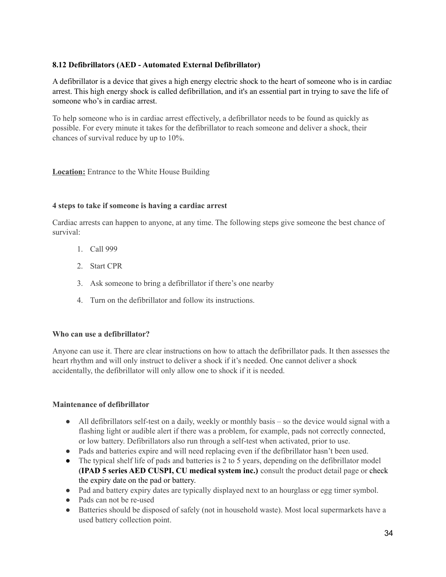# <span id="page-34-0"></span>**8.12 Defibrillators (AED - Automated External Defibrillator)**

A defibrillator is a device that gives a high energy electric shock to the heart of someone who is in cardiac arrest. This high energy shock is called defibrillation, and it's an essential part in trying to save the life of someone who's in cardiac arrest.

To help someone who is in cardiac arrest effectively, a defibrillator needs to be found as quickly as possible. For every minute it takes for the defibrillator to reach someone and deliver a shock, their chances of survival reduce by up to 10%.

**Location:** Entrance to the White House Building

### **4 steps to take if someone is having a cardiac arrest**

Cardiac arrests can happen to anyone, at any time. The following steps give someone the best chance of survival:

- 1. Call 999
- 2. Start CPR
- 3. Ask someone to bring a defibrillator if there's one nearby
- 4. Turn on the defibrillator and follow its instructions.

#### **Who can use a defibrillator?**

Anyone can use it. There are clear instructions on how to attach the defibrillator pads. It then assesses the heart rhythm and will only instruct to deliver a shock if it's needed. One cannot deliver a shock accidentally, the defibrillator will only allow one to shock if it is needed.

# **Maintenance of defibrillator**

- All defibrillators self-test on a daily, weekly or monthly basis so the device would signal with a flashing light or audible alert if there was a problem, for example, pads not correctly connected, or low battery. Defibrillators also run through a self-test when activated, prior to use.
- Pads and batteries expire and will need replacing even if the defibrillator hasn't been used.
- The typical shelf life of pads and batteries is 2 to 5 years, depending on the defibrillator model **(IPAD 5 series AED CUSPI, CU medical system inc.)** consult the product detail page or check the expiry date on the pad or battery.
- Pad and battery expiry dates are typically displayed next to an hourglass or egg timer symbol.
- Pads can not be re-used
- Batteries should be disposed of safely (not in household waste). Most local supermarkets have a used battery collection point.